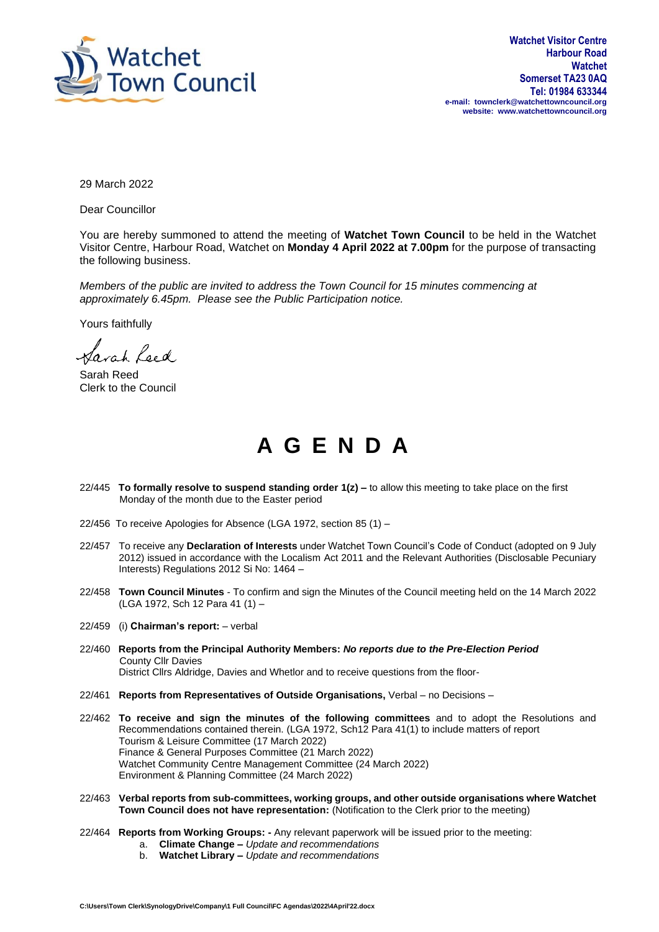

29 March 2022

Dear Councillor

You are hereby summoned to attend the meeting of **Watchet Town Council** to be held in the Watchet Visitor Centre, Harbour Road, Watchet on **Monday 4 April 2022 at 7.00pm** for the purpose of transacting the following business.

*Members of the public are invited to address the Town Council for 15 minutes commencing at approximately 6.45pm. Please see the Public Participation notice.*

Yours faithfully

Sarah Leed

Sarah Reed Clerk to the Council

## **A G E N D A**

- 22/445 **To formally resolve to suspend standing order 1(z) –** to allow this meeting to take place on the first Monday of the month due to the Easter period
- 22/456 To receive Apologies for Absence (LGA 1972, section 85 (1) –
- 22/457 To receive any **Declaration of Interests** under Watchet Town Council's Code of Conduct (adopted on 9 July 2012) issued in accordance with the Localism Act 2011 and the Relevant Authorities (Disclosable Pecuniary Interests) Regulations 2012 Si No: 1464 –
- 22/458 **Town Council Minutes** To confirm and sign the Minutes of the Council meeting held on the 14 March 2022 (LGA 1972, Sch 12 Para 41 (1) –
- 22/459 (i) **Chairman's report:** verbal
- 22/460 **Reports from the Principal Authority Members:** *No reports due to the Pre-Election Period* County Cllr Davies
	- District Cllrs Aldridge, Davies and Whetlor and to receive questions from the floor-
- 22/461 **Reports from Representatives of Outside Organisations,** Verbal no Decisions –
- 22/462 **To receive and sign the minutes of the following committees** and to adopt the Resolutions and Recommendations contained therein. (LGA 1972, Sch12 Para 41(1) to include matters of report Tourism & Leisure Committee (17 March 2022) Finance & General Purposes Committee (21 March 2022) Watchet Community Centre Management Committee (24 March 2022) Environment & Planning Committee (24 March 2022)
- 22/463 **Verbal reports from sub-committees, working groups, and other outside organisations where Watchet Town Council does not have representation:** (Notification to the Clerk prior to the meeting)
- 22/464 **Reports from Working Groups: -** Any relevant paperwork will be issued prior to the meeting:
	- a. **Climate Change –** *Update and recommendations*
	- b. **Watchet Library –** *Update and recommendations*